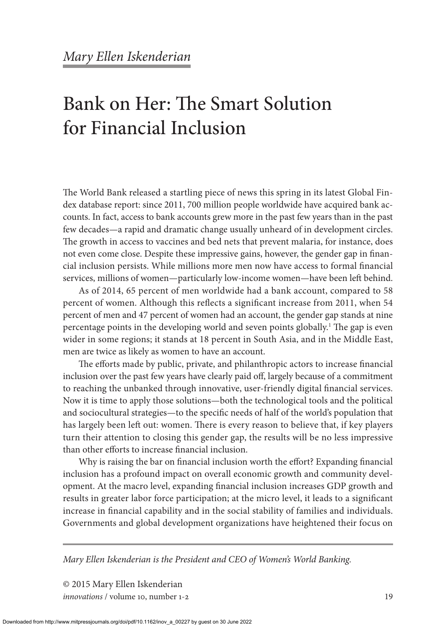# Bank on Her: The Smart Solution for Financial Inclusion

The World Bank released a startling piece of news this spring in its latest Global Findex database report: since 2011, 700 million people worldwide have acquired bank accounts. In fact, access to bank accounts grew more in the past few years than in the past few decades—a rapid and dramatic change usually unheard of in development circles. The growth in access to vaccines and bed nets that prevent malaria, for instance, does not even come close. Despite these impressive gains, however, the gender gap in financial inclusion persists. While millions more men now have access to formal financial services, millions of women—particularly low-income women—have been left behind.

As of 2014, 65 percent of men worldwide had a bank account, compared to 58 percent of women. Although this reflects a significant increase from 2011, when 54 percent of men and 47 percent of women had an account, the gender gap stands at nine percentage points in the developing world and seven points globally.<sup>1</sup> The gap is even wider in some regions; it stands at 18 percent in South Asia, and in the Middle East, men are twice as likely as women to have an account.

The efforts made by public, private, and philanthropic actors to increase financial inclusion over the past few years have clearly paid off, largely because of a commitment to reaching the unbanked through innovative, user-friendly digital financial services. Now it is time to apply those solutions—both the technological tools and the political and sociocultural strategies—to the specific needs of half of the world's population that has largely been left out: women. There is every reason to believe that, if key players turn their attention to closing this gender gap, the results will be no less impressive than other efforts to increase financial inclusion.

Why is raising the bar on financial inclusion worth the effort? Expanding financial inclusion has a profound impact on overall economic growth and community development. At the macro level, expanding financial inclusion increases GDP growth and results in greater labor force participation; at the micro level, it leads to a significant increase in financial capability and in the social stability of families and individuals. Governments and global development organizations have heightened their focus on

*Mary Ellen Iskenderian is the President and CEO of Women's World Banking.*

*innovations* / volume 10, number 1-2 19 © 2015 Mary Ellen Iskenderian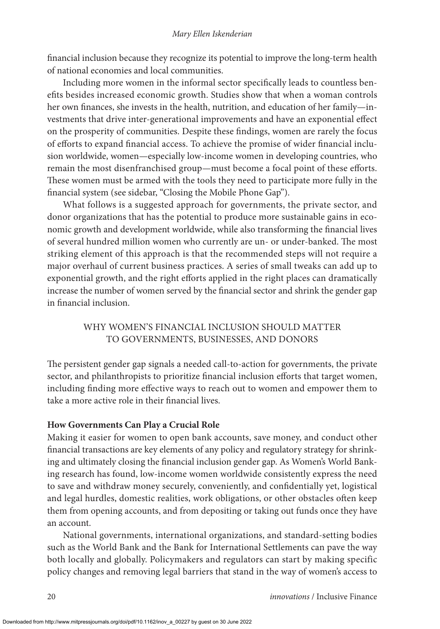financial inclusion because they recognize its potential to improve the long-term health of national economies and local communities.

Including more women in the informal sector specifically leads to countless benefits besides increased economic growth. Studies show that when a woman controls her own finances, she invests in the health, nutrition, and education of her family—investments that drive inter-generational improvements and have an exponential effect on the prosperity of communities. Despite these findings, women are rarely the focus of efforts to expand financial access. To achieve the promise of wider financial inclusion worldwide, women—especially low-income women in developing countries, who remain the most disenfranchised group—must become a focal point of these efforts. These women must be armed with the tools they need to participate more fully in the financial system (see sidebar, "Closing the Mobile Phone Gap").

What follows is a suggested approach for governments, the private sector, and donor organizations that has the potential to produce more sustainable gains in economic growth and development worldwide, while also transforming the financial lives of several hundred million women who currently are un- or under-banked. The most striking element of this approach is that the recommended steps will not require a major overhaul of current business practices. A series of small tweaks can add up to exponential growth, and the right efforts applied in the right places can dramatically increase the number of women served by the financial sector and shrink the gender gap in financial inclusion.

## WHY WOMEN'S FINANCIAL INCLUSION SHOULD MATTER TO GOVERNMENTS, BUSINESSES, AND DONORS

The persistent gender gap signals a needed call-to-action for governments, the private sector, and philanthropists to prioritize financial inclusion efforts that target women, including finding more effective ways to reach out to women and empower them to take a more active role in their financial lives.

## **How Governments Can Play a Crucial Role**

Making it easier for women to open bank accounts, save money, and conduct other financial transactions are key elements of any policy and regulatory strategy for shrinking and ultimately closing the financial inclusion gender gap. As Women's World Banking research has found, low-income women worldwide consistently express the need to save and withdraw money securely, conveniently, and confidentially yet, logistical and legal hurdles, domestic realities, work obligations, or other obstacles often keep them from opening accounts, and from depositing or taking out funds once they have an account.

National governments, international organizations, and standard-setting bodies such as the World Bank and the Bank for International Settlements can pave the way both locally and globally. Policymakers and regulators can start by making specific policy changes and removing legal barriers that stand in the way of women's access to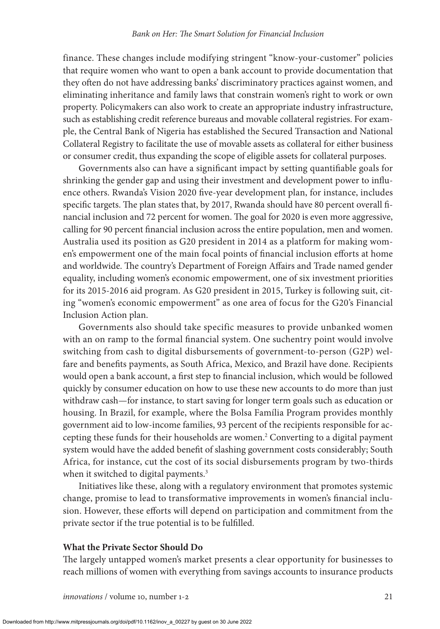finance. These changes include modifying stringent "know-your-customer" policies that require women who want to open a bank account to provide documentation that they often do not have addressing banks' discriminatory practices against women, and eliminating inheritance and family laws that constrain women's right to work or own property. Policymakers can also work to create an appropriate industry infrastructure, such as establishing credit reference bureaus and movable collateral registries. For example, the Central Bank of Nigeria has established the Secured Transaction and National Collateral Registry to facilitate the use of movable assets as collateral for either business or consumer credit, thus expanding the scope of eligible assets for collateral purposes.

Governments also can have a significant impact by setting quantifiable goals for shrinking the gender gap and using their investment and development power to influence others. Rwanda's Vision 2020 five-year development plan, for instance, includes specific targets. The plan states that, by 2017, Rwanda should have 80 percent overall financial inclusion and 72 percent for women. The goal for 2020 is even more aggressive, calling for 90 percent financial inclusion across the entire population, men and women. Australia used its position as G20 president in 2014 as a platform for making women's empowerment one of the main focal points of financial inclusion efforts at home and worldwide. The country's Department of Foreign Affairs and Trade named gender equality, including women's economic empowerment, one of six investment priorities for its 2015-2016 aid program. As G20 president in 2015, Turkey is following suit, citing "women's economic empowerment" as one area of focus for the G20's Financial Inclusion Action plan.

Governments also should take specific measures to provide unbanked women with an on ramp to the formal financial system. One suchentry point would involve switching from cash to digital disbursements of government-to-person (G2P) welfare and benefits payments, as South Africa, Mexico, and Brazil have done. Recipients would open a bank account, a first step to financial inclusion, which would be followed quickly by consumer education on how to use these new accounts to do more than just withdraw cash—for instance, to start saving for longer term goals such as education or housing. In Brazil, for example, where the Bolsa Família Program provides monthly government aid to low-income families, 93 percent of the recipients responsible for accepting these funds for their households are women.<sup>2</sup> Converting to a digital payment system would have the added benefit of slashing government costs considerably; South Africa, for instance, cut the cost of its social disbursements program by two-thirds when it switched to digital payments.<sup>3</sup>

Initiatives like these, along with a regulatory environment that promotes systemic change, promise to lead to transformative improvements in women's financial inclusion. However, these efforts will depend on participation and commitment from the private sector if the true potential is to be fulfilled.

#### **What the Private Sector Should Do**

The largely untapped women's market presents a clear opportunity for businesses to reach millions of women with everything from savings accounts to insurance products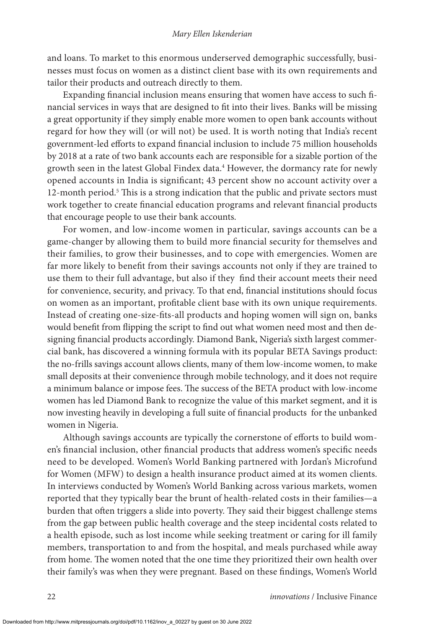and loans. To market to this enormous underserved demographic successfully, businesses must focus on women as a distinct client base with its own requirements and tailor their products and outreach directly to them.

Expanding financial inclusion means ensuring that women have access to such financial services in ways that are designed to fit into their lives. Banks will be missing a great opportunity if they simply enable more women to open bank accounts without regard for how they will (or will not) be used. It is worth noting that India's recent government-led efforts to expand financial inclusion to include 75 million households by 2018 at a rate of two bank accounts each are responsible for a sizable portion of the growth seen in the latest Global Findex data.<sup>4</sup> However, the dormancy rate for newly opened accounts in India is significant; 43 percent show no account activity over a 12-month period.<sup>5</sup> This is a strong indication that the public and private sectors must work together to create financial education programs and relevant financial products that encourage people to use their bank accounts.

For women, and low-income women in particular, savings accounts can be a game-changer by allowing them to build more financial security for themselves and their families, to grow their businesses, and to cope with emergencies. Women are far more likely to benefit from their savings accounts not only if they are trained to use them to their full advantage, but also if they find their account meets their need for convenience, security, and privacy. To that end, financial institutions should focus on women as an important, profitable client base with its own unique requirements. Instead of creating one-size-fits-all products and hoping women will sign on, banks would benefit from flipping the script to find out what women need most and then designing financial products accordingly. Diamond Bank, Nigeria's sixth largest commercial bank, has discovered a winning formula with its popular BETA Savings product: the no-frills savings account allows clients, many of them low-income women, to make small deposits at their convenience through mobile technology, and it does not require a minimum balance or impose fees. The success of the BETA product with low-income women has led Diamond Bank to recognize the value of this market segment, and it is now investing heavily in developing a full suite of financial products for the unbanked women in Nigeria.

Although savings accounts are typically the cornerstone of efforts to build women's financial inclusion, other financial products that address women's specific needs need to be developed. Women's World Banking partnered with Jordan's Microfund for Women (MFW) to design a health insurance product aimed at its women clients. In interviews conducted by Women's World Banking across various markets, women reported that they typically bear the brunt of health-related costs in their families—a burden that often triggers a slide into poverty. They said their biggest challenge stems from the gap between public health coverage and the steep incidental costs related to a health episode, such as lost income while seeking treatment or caring for ill family members, transportation to and from the hospital, and meals purchased while away from home. The women noted that the one time they prioritized their own health over their family's was when they were pregnant. Based on these findings, Women's World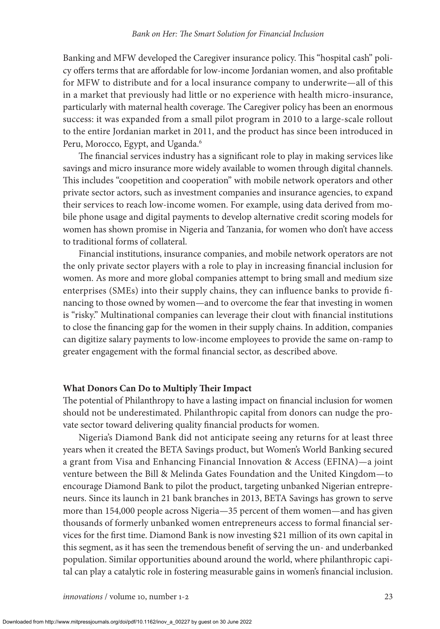Banking and MFW developed the Caregiver insurance policy. This "hospital cash" policy offers terms that are affordable for low-income Jordanian women, and also profitable for MFW to distribute and for a local insurance company to underwrite—all of this in a market that previously had little or no experience with health micro-insurance, particularly with maternal health coverage. The Caregiver policy has been an enormous success: it was expanded from a small pilot program in 2010 to a large-scale rollout to the entire Jordanian market in 2011, and the product has since been introduced in Peru, Morocco, Egypt, and Uganda.<sup>6</sup>

The financial services industry has a significant role to play in making services like savings and micro insurance more widely available to women through digital channels. This includes "coopetition and cooperation" with mobile network operators and other private sector actors, such as investment companies and insurance agencies, to expand their services to reach low-income women. For example, using data derived from mobile phone usage and digital payments to develop alternative credit scoring models for women has shown promise in Nigeria and Tanzania, for women who don't have access to traditional forms of collateral.

Financial institutions, insurance companies, and mobile network operators are not the only private sector players with a role to play in increasing financial inclusion for women. As more and more global companies attempt to bring small and medium size enterprises (SMEs) into their supply chains, they can influence banks to provide financing to those owned by women—and to overcome the fear that investing in women is "risky." Multinational companies can leverage their clout with financial institutions to close the financing gap for the women in their supply chains. In addition, companies can digitize salary payments to low-income employees to provide the same on-ramp to greater engagement with the formal financial sector, as described above.

#### **What Donors Can Do to Multiply Their Impact**

The potential of Philanthropy to have a lasting impact on financial inclusion for women should not be underestimated. Philanthropic capital from donors can nudge the provate sector toward delivering quality financial products for women.

Nigeria's Diamond Bank did not anticipate seeing any returns for at least three years when it created the BETA Savings product, but Women's World Banking secured a grant from Visa and Enhancing Financial Innovation & Access (EFINA)—a joint venture between the Bill & Melinda Gates Foundation and the United Kingdom—to encourage Diamond Bank to pilot the product, targeting unbanked Nigerian entrepreneurs. Since its launch in 21 bank branches in 2013, BETA Savings has grown to serve more than 154,000 people across Nigeria—35 percent of them women—and has given thousands of formerly unbanked women entrepreneurs access to formal financial services for the first time. Diamond Bank is now investing \$21 million of its own capital in this segment, as it has seen the tremendous benefit of serving the un- and underbanked population. Similar opportunities abound around the world, where philanthropic capital can play a catalytic role in fostering measurable gains in women's financial inclusion.

*innovations* / volume 10, number 1-2 23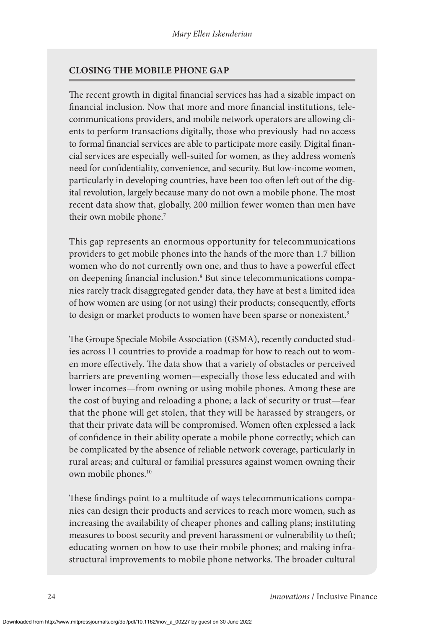## **CLOSING THE MOBILE PHONE GAP**

The recent growth in digital financial services has had a sizable impact on financial inclusion. Now that more and more financial institutions, telecommunications providers, and mobile network operators are allowing clients to perform transactions digitally, those who previously had no access to formal financial services are able to participate more easily. Digital financial services are especially well-suited for women, as they address women's need for confidentiality, convenience, and security. But low-income women, particularly in developing countries, have been too often left out of the digital revolution, largely because many do not own a mobile phone. The most recent data show that, globally, 200 million fewer women than men have their own mobile phone.<sup>7</sup>

This gap represents an enormous opportunity for telecommunications providers to get mobile phones into the hands of the more than 1.7 billion women who do not currently own one, and thus to have a powerful effect on deepening financial inclusion.<sup>8</sup> But since telecommunications companies rarely track disaggregated gender data, they have at best a limited idea of how women are using (or not using) their products; consequently, efforts to design or market products to women have been sparse or nonexistent.<sup>9</sup>

The Groupe Speciale Mobile Association (GSMA), recently conducted studies across 11 countries to provide a roadmap for how to reach out to women more effectively. The data show that a variety of obstacles or perceived barriers are preventing women—especially those less educated and with lower incomes—from owning or using mobile phones. Among these are the cost of buying and reloading a phone; a lack of security or trust—fear that the phone will get stolen, that they will be harassed by strangers, or that their private data will be compromised. Women often explessed a lack of confidence in their ability operate a mobile phone correctly; which can be complicated by the absence of reliable network coverage, particularly in rural areas; and cultural or familial pressures against women owning their own mobile phones.10

These findings point to a multitude of ways telecommunications companies can design their products and services to reach more women, such as increasing the availability of cheaper phones and calling plans; instituting measures to boost security and prevent harassment or vulnerability to theft; educating women on how to use their mobile phones; and making infrastructural improvements to mobile phone networks. The broader cultural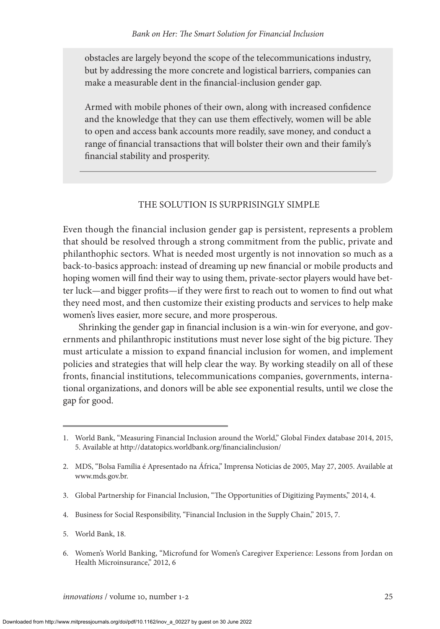obstacles are largely beyond the scope of the telecommunications industry, but by addressing the more concrete and logistical barriers, companies can make a measurable dent in the financial-inclusion gender gap.

Armed with mobile phones of their own, along with increased confidence and the knowledge that they can use them effectively, women will be able to open and access bank accounts more readily, save money, and conduct a range of financial transactions that will bolster their own and their family's financial stability and prosperity.

## THE SOLUTION IS SURPRISINGLY SIMPLE

Even though the financial inclusion gender gap is persistent, represents a problem that should be resolved through a strong commitment from the public, private and philanthophic sectors. What is needed most urgently is not innovation so much as a back-to-basics approach: instead of dreaming up new financial or mobile products and hoping women will find their way to using them, private-sector players would have better luck—and bigger profits—if they were first to reach out to women to find out what they need most, and then customize their existing products and services to help make women's lives easier, more secure, and more prosperous.

Shrinking the gender gap in financial inclusion is a win-win for everyone, and governments and philanthropic institutions must never lose sight of the big picture. They must articulate a mission to expand financial inclusion for women, and implement policies and strategies that will help clear the way. By working steadily on all of these fronts, financial institutions, telecommunications companies, governments, international organizations, and donors will be able see exponential results, until we close the gap for good.

- 3. Global Partnership for Financial Inclusion, "The Opportunities of Digitizing Payments," 2014, 4.
- 4. Business for Social Responsibility, "Financial Inclusion in the Supply Chain," 2015, 7.
- 5. World Bank, 18.
- 6. Women's World Banking, "Microfund for Women's Caregiver Experience: Lessons from Jordan on Health Microinsurance," 2012, 6

*innovations* / volume 10, number 1-2 25

<sup>1.</sup> World Bank, "Measuring Financial Inclusion around the World," Global Findex database 2014, 2015, 5. Available at http://datatopics.worldbank.org/financialinclusion/

<sup>2.</sup> MDS, "Bolsa Família é Apresentado na África," Imprensa Noticias de 2005, May 27, 2005. Available at www.mds.gov.br.